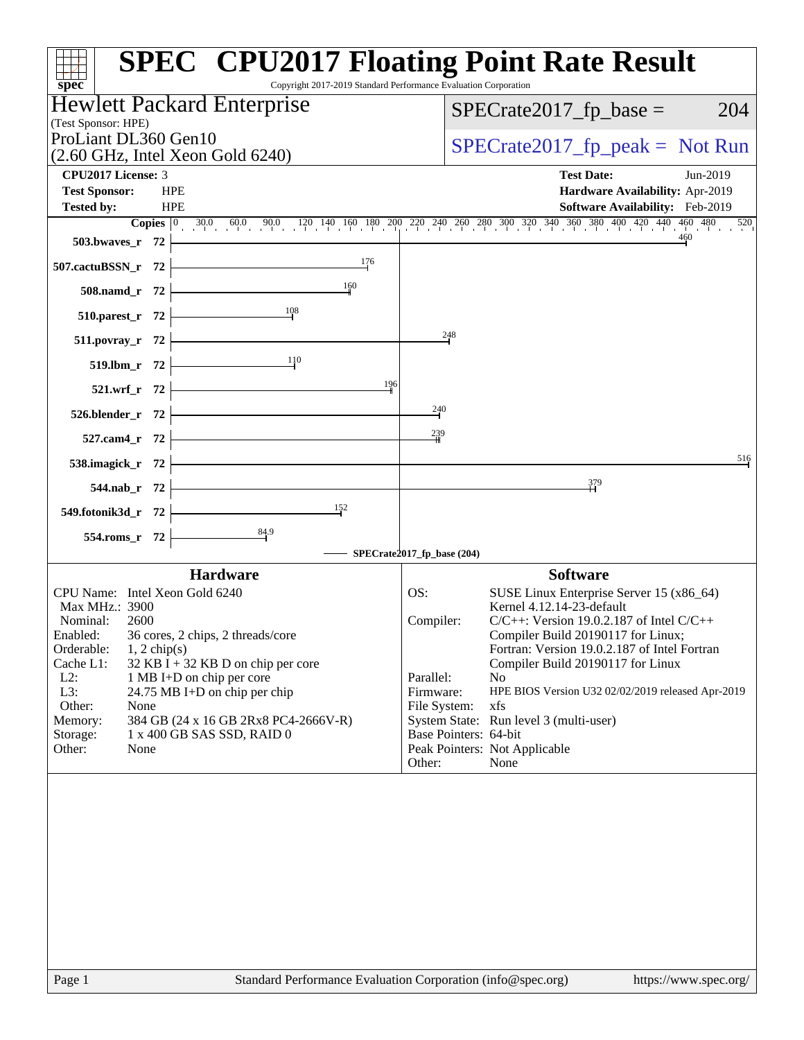| Copyright 2017-2019 Standard Performance Evaluation Corporation<br>$spec^*$   | <b>SPEC<sup>®</sup> CPU2017 Floating Point Rate Result</b>                                                                                                                       |
|-------------------------------------------------------------------------------|----------------------------------------------------------------------------------------------------------------------------------------------------------------------------------|
| <b>Hewlett Packard Enterprise</b><br>(Test Sponsor: HPE)                      | $SPECrate2017_fp\_base =$<br>204                                                                                                                                                 |
| ProLiant DL360 Gen10                                                          | $SPECrate2017_fp\_peak = Not Run$                                                                                                                                                |
| $(2.60 \text{ GHz}, \text{Intel Xeon Gold } 6240)$                            |                                                                                                                                                                                  |
| <b>CPU2017 License: 3</b><br><b>HPE</b>                                       | <b>Test Date:</b><br>Jun-2019                                                                                                                                                    |
| <b>Test Sponsor:</b><br><b>HPE</b><br><b>Tested by:</b>                       | Hardware Availability: Apr-2019<br>Software Availability: Feb-2019                                                                                                               |
|                                                                               | <b>Copies</b> $\begin{bmatrix} 0 & 30.0 & 60.0 & 90.0 & 120 & 140 & 160 & 180 & 200 & 240 & 260 & 300 & 320 & 340 & 360 & 380 & 400 & 420 & 440 & 460 & 480 & 520 \end{bmatrix}$ |
| 503.bwaves_r $72$ $\rightarrow$                                               |                                                                                                                                                                                  |
| $\frac{176}{1}$<br>507.cactuBSSN_r $72$                                       |                                                                                                                                                                                  |
| 508.namd_r 72 $\frac{160}{1}$                                                 |                                                                                                                                                                                  |
| 510.parest_r 72 $\overline{\qquad}$ 108                                       |                                                                                                                                                                                  |
| $511.1.1$ povray_r $72$ $\overline{\phantom{a}}$                              | 248                                                                                                                                                                              |
| 519.lbm_r 72 $\frac{11}{10}$                                                  |                                                                                                                                                                                  |
| 521.wrf_r $72$ $\overline{\phantom{1}}$<br>196                                |                                                                                                                                                                                  |
| $526. \text{blender}_r$ 72                                                    | $\frac{240}{5}$                                                                                                                                                                  |
| $527.cam4_r$ 72                                                               | 239                                                                                                                                                                              |
| $538.\text{imagek}_r$ 72 $\overline{\qquad}$                                  | 516                                                                                                                                                                              |
| $544.nab_r$ 72                                                                | 379                                                                                                                                                                              |
| 549.fotonik3d_r 72 $\frac{152}{1}$                                            |                                                                                                                                                                                  |
| 554.roms_r 72 $\overline{)$ 84.9                                              | SPECrate2017_fp_base (204)                                                                                                                                                       |
| <b>Hardware</b>                                                               | <b>Software</b>                                                                                                                                                                  |
| CPU Name: Intel Xeon Gold 6240                                                | OS:<br>SUSE Linux Enterprise Server 15 (x86_64)                                                                                                                                  |
| Max MHz.: 3900                                                                | Kernel 4.12.14-23-default                                                                                                                                                        |
| Nominal:<br>2600                                                              | $C/C++$ : Version 19.0.2.187 of Intel $C/C++$<br>Compiler:                                                                                                                       |
| Enabled:<br>36 cores, 2 chips, 2 threads/core<br>Orderable:<br>$1, 2$ chip(s) | Compiler Build 20190117 for Linux;<br>Fortran: Version 19.0.2.187 of Intel Fortran                                                                                               |
| Cache L1:<br>$32$ KB I + 32 KB D on chip per core                             | Compiler Build 20190117 for Linux                                                                                                                                                |
| $L2$ :<br>1 MB I+D on chip per core                                           | Parallel:<br>N <sub>o</sub>                                                                                                                                                      |
| L3:<br>24.75 MB I+D on chip per chip                                          | Firmware:<br>HPE BIOS Version U32 02/02/2019 released Apr-2019                                                                                                                   |
| Other:<br>None<br>384 GB (24 x 16 GB 2Rx8 PC4-2666V-R)<br>Memory:             | xfs<br>File System:<br>System State: Run level 3 (multi-user)                                                                                                                    |
| 1 x 400 GB SAS SSD, RAID 0<br>Storage:                                        | Base Pointers: 64-bit                                                                                                                                                            |
| Other:<br>None                                                                | Peak Pointers: Not Applicable                                                                                                                                                    |
|                                                                               | Other:<br>None                                                                                                                                                                   |
|                                                                               |                                                                                                                                                                                  |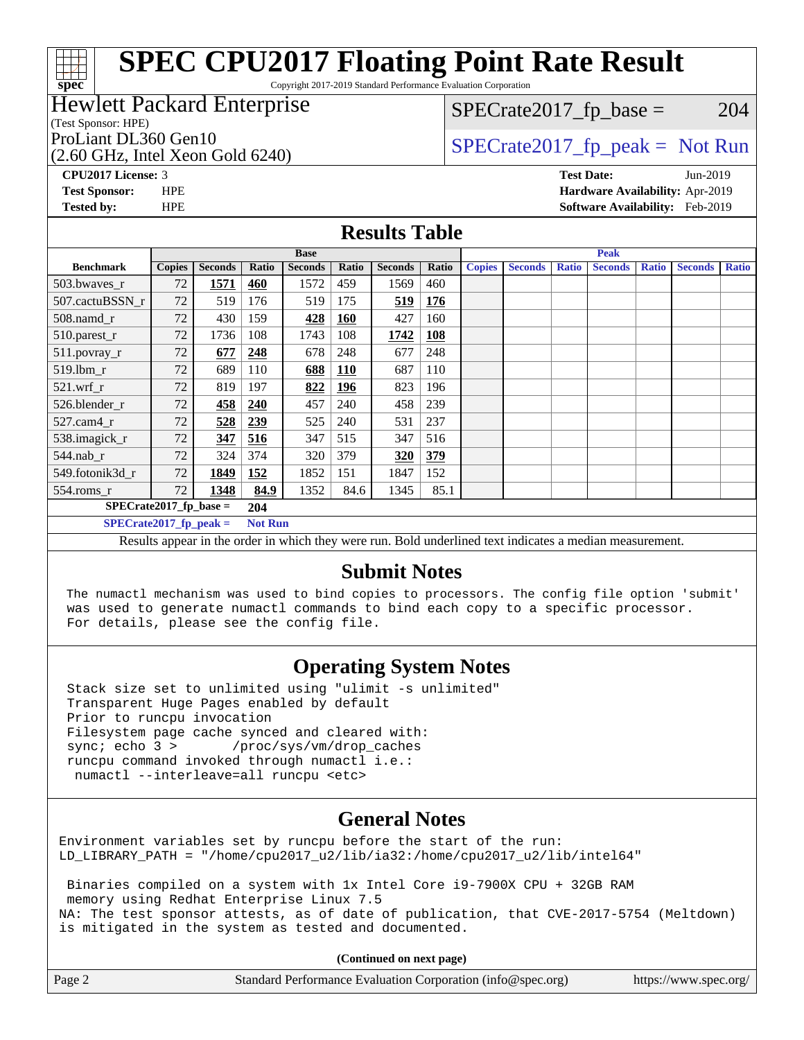Copyright 2017-2019 Standard Performance Evaluation Corporation

## Hewlett Packard Enterprise

(Test Sponsor: HPE)

**[spec](http://www.spec.org/)**

(2.60 GHz, Intel Xeon Gold 6240)

 $SPECTate2017<sub>fr</sub> base = 204$ 

ProLiant DL360 Gen10  $SPECTR_{12}$  [SPECrate2017\\_fp\\_peak =](http://www.spec.org/auto/cpu2017/Docs/result-fields.html#SPECrate2017fppeak) Not Run

**[CPU2017 License:](http://www.spec.org/auto/cpu2017/Docs/result-fields.html#CPU2017License)** 3 **[Test Date:](http://www.spec.org/auto/cpu2017/Docs/result-fields.html#TestDate)** Jun-2019 **[Test Sponsor:](http://www.spec.org/auto/cpu2017/Docs/result-fields.html#TestSponsor)** HPE **[Hardware Availability:](http://www.spec.org/auto/cpu2017/Docs/result-fields.html#HardwareAvailability)** Apr-2019 **[Tested by:](http://www.spec.org/auto/cpu2017/Docs/result-fields.html#Testedby)** HPE **[Software Availability:](http://www.spec.org/auto/cpu2017/Docs/result-fields.html#SoftwareAvailability)** Feb-2019

### **[Results Table](http://www.spec.org/auto/cpu2017/Docs/result-fields.html#ResultsTable)**

|                                            | <b>Base</b>   |                |            |                |            | <b>Peak</b>    |       |               |                |              |                |              |                |              |
|--------------------------------------------|---------------|----------------|------------|----------------|------------|----------------|-------|---------------|----------------|--------------|----------------|--------------|----------------|--------------|
| <b>Benchmark</b>                           | <b>Copies</b> | <b>Seconds</b> | Ratio      | <b>Seconds</b> | Ratio      | <b>Seconds</b> | Ratio | <b>Copies</b> | <b>Seconds</b> | <b>Ratio</b> | <b>Seconds</b> | <b>Ratio</b> | <b>Seconds</b> | <b>Ratio</b> |
| 503.bwayes r                               | 72            | 1571           | <u>460</u> | 1572           | 459        | 1569           | 460   |               |                |              |                |              |                |              |
| 507.cactuBSSN r                            | 72            | 519            | 176        | 519            | 175        | 519            | 176   |               |                |              |                |              |                |              |
| 508.namd_r                                 | 72            | 430            | 159        | 428            | 160        | 427            | 160   |               |                |              |                |              |                |              |
| 510.parest_r                               | 72            | 1736           | 108        | 1743           | 108        | 1742           | 108   |               |                |              |                |              |                |              |
| 511.povray_r                               | 72            | 677            | 248        | 678            | 248        | 677            | 248   |               |                |              |                |              |                |              |
| 519.lbm r                                  | 72            | 689            | 110        | <u>688</u>     | <u>110</u> | 687            | 110   |               |                |              |                |              |                |              |
| $521$ .wrf r                               | 72            | 819            | 197        | 822            | 196        | 823            | 196   |               |                |              |                |              |                |              |
| 526.blender r                              | 72            | 458            | 240        | 457            | 240        | 458            | 239   |               |                |              |                |              |                |              |
| $527.cam4_r$                               | 72            | 528            | 239        | 525            | 240        | 531            | 237   |               |                |              |                |              |                |              |
| 538.imagick_r                              | 72            | 347            | 516        | 347            | 515        | 347            | 516   |               |                |              |                |              |                |              |
| $544.nab$ _r                               | 72            | 324            | 374        | 320            | 379        | 320            | 379   |               |                |              |                |              |                |              |
| 549.fotonik3d r                            | 72            | 1849           | 152        | 1852           | 151        | 1847           | 152   |               |                |              |                |              |                |              |
| $554$ .roms_r                              | 72            | 1348           | 84.9       | 1352           | 84.6       | 1345           | 85.1  |               |                |              |                |              |                |              |
| $SPECrate2017$ fp base =<br>204            |               |                |            |                |            |                |       |               |                |              |                |              |                |              |
| <b>Not Run</b><br>$SPECrate2017$ fp peak = |               |                |            |                |            |                |       |               |                |              |                |              |                |              |

Results appear in the [order in which they were run.](http://www.spec.org/auto/cpu2017/Docs/result-fields.html#RunOrder) Bold underlined text [indicates a median measurement.](http://www.spec.org/auto/cpu2017/Docs/result-fields.html#Median)

## **[Submit Notes](http://www.spec.org/auto/cpu2017/Docs/result-fields.html#SubmitNotes)**

 The numactl mechanism was used to bind copies to processors. The config file option 'submit' was used to generate numactl commands to bind each copy to a specific processor. For details, please see the config file.

## **[Operating System Notes](http://www.spec.org/auto/cpu2017/Docs/result-fields.html#OperatingSystemNotes)**

 Stack size set to unlimited using "ulimit -s unlimited" Transparent Huge Pages enabled by default Prior to runcpu invocation Filesystem page cache synced and cleared with: sync; echo 3 > /proc/sys/vm/drop\_caches runcpu command invoked through numactl i.e.: numactl --interleave=all runcpu <etc>

## **[General Notes](http://www.spec.org/auto/cpu2017/Docs/result-fields.html#GeneralNotes)**

Environment variables set by runcpu before the start of the run: LD\_LIBRARY\_PATH = "/home/cpu2017\_u2/lib/ia32:/home/cpu2017\_u2/lib/intel64"

 Binaries compiled on a system with 1x Intel Core i9-7900X CPU + 32GB RAM memory using Redhat Enterprise Linux 7.5 NA: The test sponsor attests, as of date of publication, that CVE-2017-5754 (Meltdown) is mitigated in the system as tested and documented.

**(Continued on next page)**

| Page 2 | Standard Performance Evaluation Corporation (info@spec.org) | https://www.spec.org/ |
|--------|-------------------------------------------------------------|-----------------------|
|--------|-------------------------------------------------------------|-----------------------|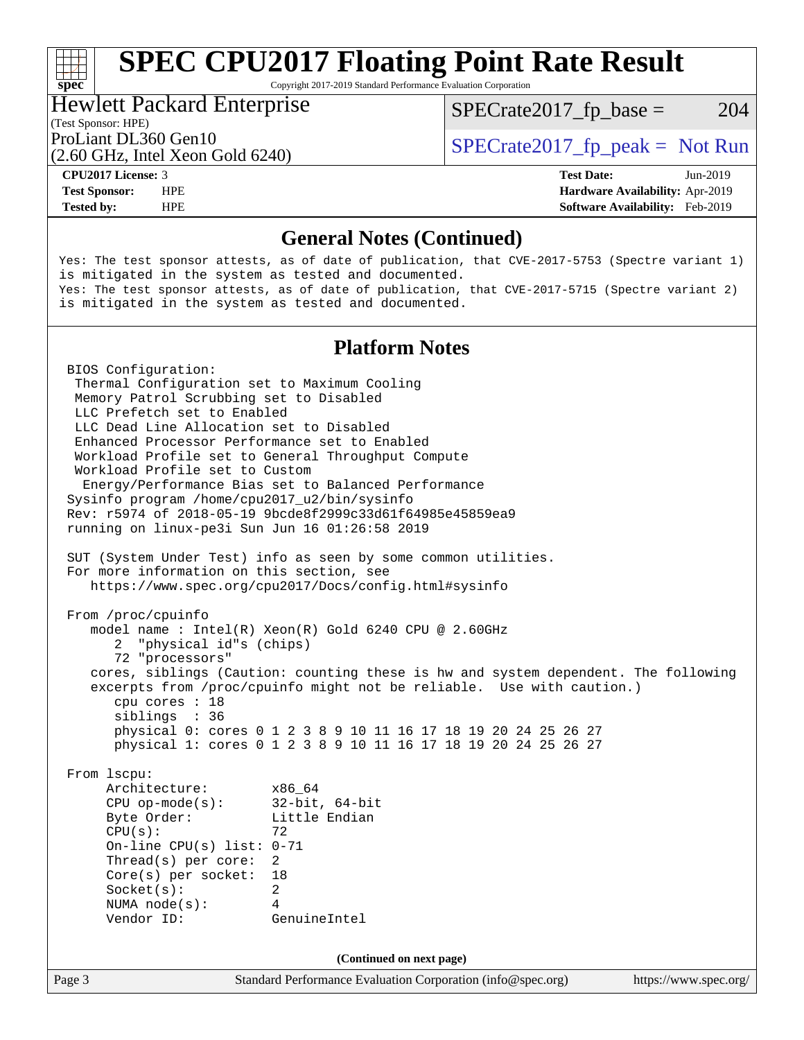Copyright 2017-2019 Standard Performance Evaluation Corporation

### Hewlett Packard Enterprise

 $SPECTate2017<sub>fr</sub> base = 204$ 

### (Test Sponsor: HPE)

(2.60 GHz, Intel Xeon Gold 6240)

ProLiant DL360 Gen10  $SPECTA = 540^{\circ}$   $SPECTA = 540^{\circ}$   $SPECTA = 540^{\circ}$ 

**[spec](http://www.spec.org/)**<sup>®</sup>

**[Tested by:](http://www.spec.org/auto/cpu2017/Docs/result-fields.html#Testedby)** HPE **[Software Availability:](http://www.spec.org/auto/cpu2017/Docs/result-fields.html#SoftwareAvailability)** Feb-2019

**[CPU2017 License:](http://www.spec.org/auto/cpu2017/Docs/result-fields.html#CPU2017License)** 3 **[Test Date:](http://www.spec.org/auto/cpu2017/Docs/result-fields.html#TestDate)** Jun-2019 **[Test Sponsor:](http://www.spec.org/auto/cpu2017/Docs/result-fields.html#TestSponsor)** HPE **[Hardware Availability:](http://www.spec.org/auto/cpu2017/Docs/result-fields.html#HardwareAvailability)** Apr-2019

## **[General Notes \(Continued\)](http://www.spec.org/auto/cpu2017/Docs/result-fields.html#GeneralNotes)**

Yes: The test sponsor attests, as of date of publication, that CVE-2017-5753 (Spectre variant 1) is mitigated in the system as tested and documented. Yes: The test sponsor attests, as of date of publication, that CVE-2017-5715 (Spectre variant 2) is mitigated in the system as tested and documented.

## **[Platform Notes](http://www.spec.org/auto/cpu2017/Docs/result-fields.html#PlatformNotes)**

Page 3 Standard Performance Evaluation Corporation [\(info@spec.org\)](mailto:info@spec.org) <https://www.spec.org/> BIOS Configuration: Thermal Configuration set to Maximum Cooling Memory Patrol Scrubbing set to Disabled LLC Prefetch set to Enabled LLC Dead Line Allocation set to Disabled Enhanced Processor Performance set to Enabled Workload Profile set to General Throughput Compute Workload Profile set to Custom Energy/Performance Bias set to Balanced Performance Sysinfo program /home/cpu2017\_u2/bin/sysinfo Rev: r5974 of 2018-05-19 9bcde8f2999c33d61f64985e45859ea9 running on linux-pe3i Sun Jun 16 01:26:58 2019 SUT (System Under Test) info as seen by some common utilities. For more information on this section, see <https://www.spec.org/cpu2017/Docs/config.html#sysinfo> From /proc/cpuinfo model name : Intel(R) Xeon(R) Gold 6240 CPU @ 2.60GHz 2 "physical id"s (chips) 72 "processors" cores, siblings (Caution: counting these is hw and system dependent. The following excerpts from /proc/cpuinfo might not be reliable. Use with caution.) cpu cores : 18 siblings : 36 physical 0: cores 0 1 2 3 8 9 10 11 16 17 18 19 20 24 25 26 27 physical 1: cores 0 1 2 3 8 9 10 11 16 17 18 19 20 24 25 26 27 From lscpu: Architecture: x86\_64 CPU op-mode(s): 32-bit, 64-bit Byte Order: Little Endian  $CPU(s):$  72 On-line CPU(s) list: 0-71 Thread(s) per core: 2 Core(s) per socket: 18 Socket(s): 2 NUMA node(s): 4 Vendor ID: GenuineIntel **(Continued on next page)**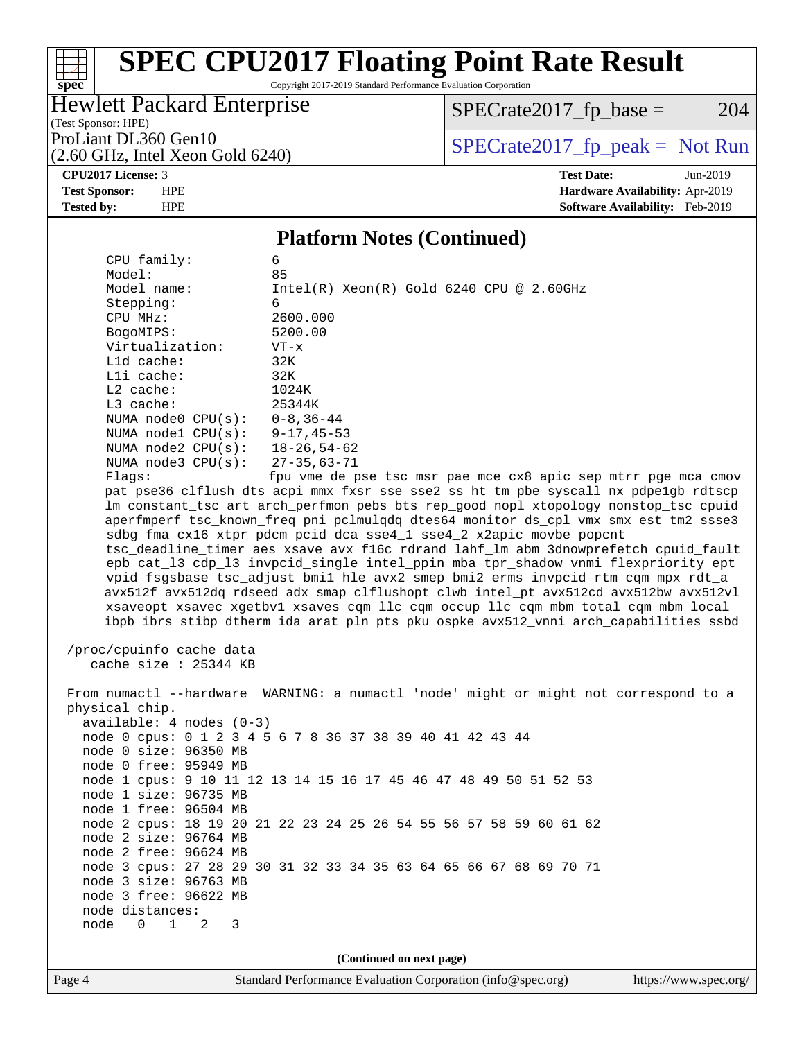Copyright 2017-2019 Standard Performance Evaluation Corporation

## Hewlett Packard Enterprise

 $SPECrate2017_fp\_base = 204$ 

(Test Sponsor: HPE) (2.60 GHz, Intel Xeon Gold 6240)

ProLiant DL360 Gen10<br>  $(2.60 \text{ GHz} \text{ Intel } X \text{eon } \text{Gold } 6240)$   $\text{SPECrate}2017\_fp\_peak = \text{Not Run}$ 

**[spec](http://www.spec.org/)**

 $\begin{matrix} & \ + \ + \end{matrix}$ 

**[CPU2017 License:](http://www.spec.org/auto/cpu2017/Docs/result-fields.html#CPU2017License)** 3 **[Test Date:](http://www.spec.org/auto/cpu2017/Docs/result-fields.html#TestDate)** Jun-2019 **[Test Sponsor:](http://www.spec.org/auto/cpu2017/Docs/result-fields.html#TestSponsor)** HPE **[Hardware Availability:](http://www.spec.org/auto/cpu2017/Docs/result-fields.html#HardwareAvailability)** Apr-2019 **[Tested by:](http://www.spec.org/auto/cpu2017/Docs/result-fields.html#Testedby)** HPE **[Software Availability:](http://www.spec.org/auto/cpu2017/Docs/result-fields.html#SoftwareAvailability)** Feb-2019

### **[Platform Notes \(Continued\)](http://www.spec.org/auto/cpu2017/Docs/result-fields.html#PlatformNotes)**

| CPU family:                                | 6                                                                                    |                       |
|--------------------------------------------|--------------------------------------------------------------------------------------|-----------------------|
| Model:                                     | 85                                                                                   |                       |
| Model name:                                | $Intel(R)$ Xeon $(R)$ Gold 6240 CPU @ 2.60GHz                                        |                       |
| Stepping:                                  | 6                                                                                    |                       |
| CPU MHz:                                   | 2600.000                                                                             |                       |
| BogoMIPS:                                  | 5200.00                                                                              |                       |
| Virtualization:                            | $VT - x$                                                                             |                       |
| L1d cache:                                 | 32K                                                                                  |                       |
| Lli cache:                                 | 32K                                                                                  |                       |
| $L2$ cache:                                | 1024K                                                                                |                       |
| L3 cache:                                  | 25344K                                                                               |                       |
| NUMA node0 $CPU(s): 0-8, 36-44$            |                                                                                      |                       |
| NUMA nodel $CPU(s): 9-17, 45-53$           |                                                                                      |                       |
| NUMA node2 CPU(s): 18-26,54-62             |                                                                                      |                       |
| NUMA $node3$ $CPU(s):$                     | 27-35,63-71                                                                          |                       |
| Flaqs:                                     | fpu vme de pse tsc msr pae mce cx8 apic sep mtrr pge mca cmov                        |                       |
|                                            | pat pse36 clflush dts acpi mmx fxsr sse sse2 ss ht tm pbe syscall nx pdpelgb rdtscp  |                       |
|                                            | lm constant_tsc art arch_perfmon pebs bts rep_good nopl xtopology nonstop_tsc cpuid  |                       |
|                                            | aperfmperf tsc_known_freq pni pclmulqdq dtes64 monitor ds_cpl vmx smx est tm2 ssse3  |                       |
|                                            | sdbg fma cx16 xtpr pdcm pcid dca sse4_1 sse4_2 x2apic movbe popcnt                   |                       |
|                                            | tsc_deadline_timer aes xsave avx f16c rdrand lahf_lm abm 3dnowprefetch cpuid_fault   |                       |
|                                            | epb cat_13 cdp_13 invpcid_single intel_ppin mba tpr_shadow vnmi flexpriority ept     |                       |
|                                            | vpid fsgsbase tsc_adjust bmil hle avx2 smep bmi2 erms invpcid rtm cqm mpx rdt_a      |                       |
|                                            | avx512f avx512dq rdseed adx smap clflushopt clwb intel_pt avx512cd avx512bw avx512vl |                       |
|                                            | xsaveopt xsavec xgetbvl xsaves cqm_llc cqm_occup_llc cqm_mbm_total cqm_mbm_local     |                       |
|                                            | ibpb ibrs stibp dtherm ida arat pln pts pku ospke avx512_vnni arch_capabilities ssbd |                       |
|                                            |                                                                                      |                       |
| /proc/cpuinfo cache data                   |                                                                                      |                       |
| cache size : 25344 KB                      |                                                                                      |                       |
|                                            |                                                                                      |                       |
|                                            | From numactl --hardware WARNING: a numactl 'node' might or might not correspond to a |                       |
| physical chip.                             |                                                                                      |                       |
| available: 4 nodes (0-3)                   |                                                                                      |                       |
|                                            | node 0 cpus: 0 1 2 3 4 5 6 7 8 36 37 38 39 40 41 42 43 44                            |                       |
| node 0 size: 96350 MB                      |                                                                                      |                       |
| node 0 free: 95949 MB                      |                                                                                      |                       |
|                                            | node 1 cpus: 9 10 11 12 13 14 15 16 17 45 46 47 48 49 50 51 52 53                    |                       |
| node 1 size: 96735 MB                      |                                                                                      |                       |
| node 1 free: 96504 MB                      |                                                                                      |                       |
|                                            | node 2 cpus: 18 19 20 21 22 23 24 25 26 54 55 56 57 58 59 60 61 62                   |                       |
| node 2 size: 96764 MB                      |                                                                                      |                       |
| node 2 free: 96624 MB                      |                                                                                      |                       |
|                                            | node 3 cpus: 27 28 29 30 31 32 33 34 35 63 64 65 66 67 68 69 70 71                   |                       |
| node 3 size: 96763 MB                      |                                                                                      |                       |
| node 3 free: 96622 MB                      |                                                                                      |                       |
| node distances:                            |                                                                                      |                       |
| $\Omega$<br>$\mathbf{1}$<br>node<br>2<br>3 |                                                                                      |                       |
|                                            |                                                                                      |                       |
|                                            | (Continued on next page)                                                             |                       |
| Page 4                                     | Standard Performance Evaluation Corporation (info@spec.org)                          | https://www.spec.org/ |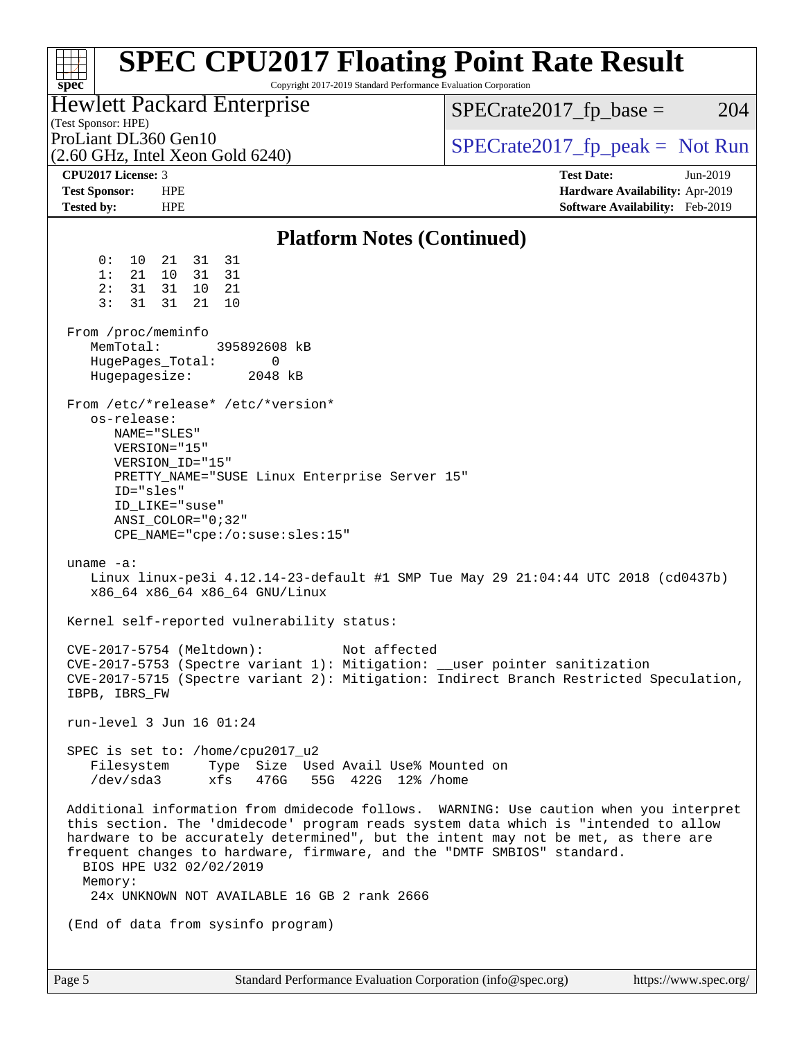| spec <sup>®</sup>                                                    | <b>SPEC CPU2017 Floating Point Rate Result</b><br>Copyright 2017-2019 Standard Performance Evaluation Corporation                                                                                                      |                                                                                                                                                                                                                                                                     |
|----------------------------------------------------------------------|------------------------------------------------------------------------------------------------------------------------------------------------------------------------------------------------------------------------|---------------------------------------------------------------------------------------------------------------------------------------------------------------------------------------------------------------------------------------------------------------------|
| (Test Sponsor: HPE)                                                  | <b>Hewlett Packard Enterprise</b>                                                                                                                                                                                      | $SPECrate2017_fp\_base =$<br>204                                                                                                                                                                                                                                    |
| ProLiant DL360 Gen10                                                 | $(2.60$ GHz, Intel Xeon Gold $6240)$                                                                                                                                                                                   | $SPECrate2017_fp\_peak = Not Run$                                                                                                                                                                                                                                   |
| CPU2017 License: 3<br><b>Test Sponsor:</b><br><b>Tested by:</b>      | <b>HPE</b><br><b>HPE</b>                                                                                                                                                                                               | <b>Test Date:</b><br>Jun-2019<br>Hardware Availability: Apr-2019<br>Software Availability: Feb-2019                                                                                                                                                                 |
|                                                                      | <b>Platform Notes (Continued)</b>                                                                                                                                                                                      |                                                                                                                                                                                                                                                                     |
| 0 :<br>10<br>1:<br>21<br>2:<br>31<br>3:<br>31                        | 31<br>21<br>31<br>10<br>31<br>31<br>31 10<br>- 21<br>31<br>21<br>10                                                                                                                                                    |                                                                                                                                                                                                                                                                     |
| From /proc/meminfo<br>MemTotal:<br>HugePages_Total:<br>Hugepagesize: | 395892608 kB<br>0<br>2048 kB                                                                                                                                                                                           |                                                                                                                                                                                                                                                                     |
| os-release:<br>ID="sles"                                             | From /etc/*release* /etc/*version*<br>NAME="SLES"<br>VERSION="15"<br>VERSION_ID="15"<br>PRETTY_NAME="SUSE Linux Enterprise Server 15"<br>ID LIKE="suse"<br>$ANSI$ _COLOR="0;32"<br>$CPE\_NAME='cpe://o:suse: sles:15"$ |                                                                                                                                                                                                                                                                     |
| uname $-a$ :                                                         | x86_64 x86_64 x86_64 GNU/Linux                                                                                                                                                                                         | Linux linux-pe3i 4.12.14-23-default #1 SMP Tue May 29 21:04:44 UTC 2018 (cd0437b)                                                                                                                                                                                   |
|                                                                      | Kernel self-reported vulnerability status:                                                                                                                                                                             |                                                                                                                                                                                                                                                                     |
| IBPB, IBRS_FW                                                        | CVE-2017-5754 (Meltdown):<br>Not affected<br>CVE-2017-5753 (Spectre variant 1): Mitigation: __user pointer sanitization                                                                                                | CVE-2017-5715 (Spectre variant 2): Mitigation: Indirect Branch Restricted Speculation,                                                                                                                                                                              |
|                                                                      | run-level 3 Jun 16 01:24                                                                                                                                                                                               |                                                                                                                                                                                                                                                                     |
| /dev/sda3                                                            | SPEC is set to: /home/cpu2017_u2<br>Filesystem Type Size Used Avail Use% Mounted on<br>xfs<br>476G 55G 422G 12% / home                                                                                                 |                                                                                                                                                                                                                                                                     |
| Memory:                                                              | frequent changes to hardware, firmware, and the "DMTF SMBIOS" standard.<br>BIOS HPE U32 02/02/2019<br>24x UNKNOWN NOT AVAILABLE 16 GB 2 rank 2666                                                                      | Additional information from dmidecode follows. WARNING: Use caution when you interpret<br>this section. The 'dmidecode' program reads system data which is "intended to allow<br>hardware to be accurately determined", but the intent may not be met, as there are |
|                                                                      | (End of data from sysinfo program)                                                                                                                                                                                     |                                                                                                                                                                                                                                                                     |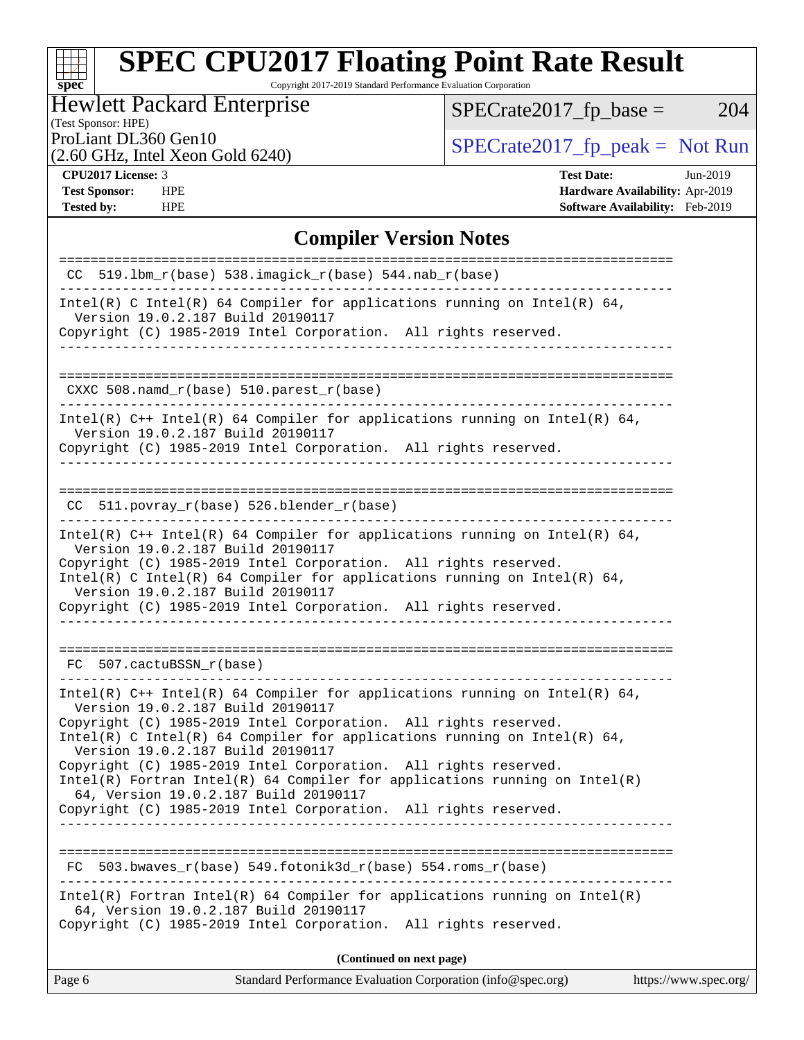Copyright 2017-2019 Standard Performance Evaluation Corporation

## Hewlett Packard Enterprise

(Test Sponsor: HPE)

 $SPECrate2017_fp\_base = 204$ 

(2.60 GHz, Intel Xeon Gold 6240)

ProLiant DL360 Gen10<br>  $(2.60 \text{ GHz} \text{ Intel } X \text{eon } \text{Gold } 6240)$   $\text{SPECrate}2017\_fp\_peak = \text{Not Run}$ 

**[spec](http://www.spec.org/)**

 $\pm$ 

**[Tested by:](http://www.spec.org/auto/cpu2017/Docs/result-fields.html#Testedby)** HPE **[Software Availability:](http://www.spec.org/auto/cpu2017/Docs/result-fields.html#SoftwareAvailability)** Feb-2019

**[CPU2017 License:](http://www.spec.org/auto/cpu2017/Docs/result-fields.html#CPU2017License)** 3 **[Test Date:](http://www.spec.org/auto/cpu2017/Docs/result-fields.html#TestDate)** Jun-2019 **[Test Sponsor:](http://www.spec.org/auto/cpu2017/Docs/result-fields.html#TestSponsor)** HPE **[Hardware Availability:](http://www.spec.org/auto/cpu2017/Docs/result-fields.html#HardwareAvailability)** Apr-2019

## **[Compiler Version Notes](http://www.spec.org/auto/cpu2017/Docs/result-fields.html#CompilerVersionNotes)**

| $CC$ 519.1bm $r(base)$ 538.imagick $r(base)$ 544.nab $r(base)$                                                                                                                                                                                                                                                                                                                                                                                                                                                                                                       |
|----------------------------------------------------------------------------------------------------------------------------------------------------------------------------------------------------------------------------------------------------------------------------------------------------------------------------------------------------------------------------------------------------------------------------------------------------------------------------------------------------------------------------------------------------------------------|
| $Intel(R)$ C Intel(R) 64 Compiler for applications running on Intel(R) 64,<br>Version 19.0.2.187 Build 20190117<br>Copyright (C) 1985-2019 Intel Corporation. All rights reserved.                                                                                                                                                                                                                                                                                                                                                                                   |
|                                                                                                                                                                                                                                                                                                                                                                                                                                                                                                                                                                      |
| CXXC 508.namd_r(base) 510.parest_r(base)                                                                                                                                                                                                                                                                                                                                                                                                                                                                                                                             |
| Intel(R) $C++$ Intel(R) 64 Compiler for applications running on Intel(R) 64,<br>Version 19.0.2.187 Build 20190117<br>Copyright (C) 1985-2019 Intel Corporation. All rights reserved.<br>_________________                                                                                                                                                                                                                                                                                                                                                            |
| CC 511.povray_r(base) 526.blender_r(base)                                                                                                                                                                                                                                                                                                                                                                                                                                                                                                                            |
| Intel(R) $C++$ Intel(R) 64 Compiler for applications running on Intel(R) 64,<br>Version 19.0.2.187 Build 20190117<br>Copyright (C) 1985-2019 Intel Corporation. All rights reserved.<br>Intel(R) C Intel(R) 64 Compiler for applications running on Intel(R) 64,<br>Version 19.0.2.187 Build 20190117<br>Copyright (C) 1985-2019 Intel Corporation. All rights reserved.                                                                                                                                                                                             |
| __________________________<br>FC 507.cactuBSSN r(base)                                                                                                                                                                                                                                                                                                                                                                                                                                                                                                               |
| Intel(R) $C++$ Intel(R) 64 Compiler for applications running on Intel(R) 64,<br>Version 19.0.2.187 Build 20190117<br>Copyright (C) 1985-2019 Intel Corporation. All rights reserved.<br>Intel(R) C Intel(R) 64 Compiler for applications running on Intel(R) 64,<br>Version 19.0.2.187 Build 20190117<br>Copyright (C) 1985-2019 Intel Corporation. All rights reserved.<br>$Intel(R)$ Fortran Intel(R) 64 Compiler for applications running on Intel(R)<br>64, Version 19.0.2.187 Build 20190117<br>Copyright (C) 1985-2019 Intel Corporation. All rights reserved. |
| 503.bwaves $r(base)$ 549.fotonik3d $r(base)$ 554.roms $r(base)$<br>FC                                                                                                                                                                                                                                                                                                                                                                                                                                                                                                |
| $Intel(R)$ Fortran Intel(R) 64 Compiler for applications running on Intel(R)<br>64, Version 19.0.2.187 Build 20190117<br>Copyright (C) 1985-2019 Intel Corporation. All rights reserved.                                                                                                                                                                                                                                                                                                                                                                             |
| (Continued on next page)                                                                                                                                                                                                                                                                                                                                                                                                                                                                                                                                             |
|                                                                                                                                                                                                                                                                                                                                                                                                                                                                                                                                                                      |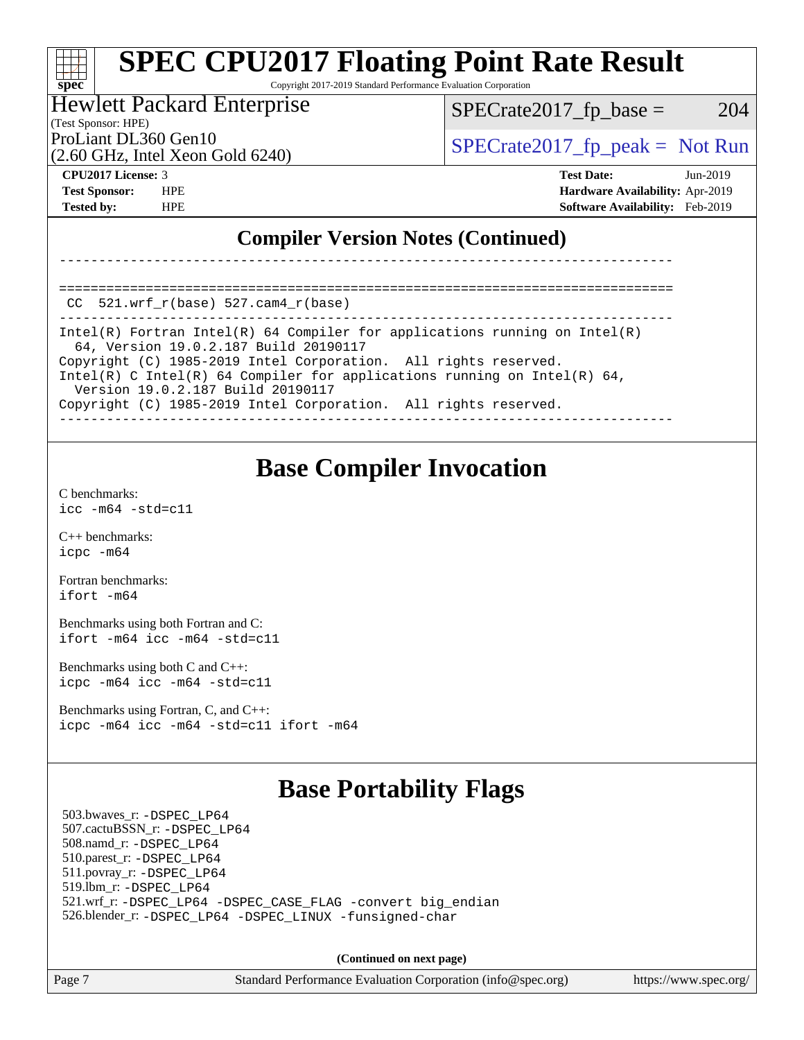Copyright 2017-2019 Standard Performance Evaluation Corporation

### Hewlett Packard Enterprise

(Test Sponsor: HPE)

 $SPECTate2017<sub>fr</sub> base = 204$ 

(2.60 GHz, Intel Xeon Gold 6240)

ProLiant DL360 Gen10  $SPECrate2017$ \_fp\_peak = Not Run

**[spec](http://www.spec.org/)**

**[CPU2017 License:](http://www.spec.org/auto/cpu2017/Docs/result-fields.html#CPU2017License)** 3 **[Test Date:](http://www.spec.org/auto/cpu2017/Docs/result-fields.html#TestDate)** Jun-2019 **[Test Sponsor:](http://www.spec.org/auto/cpu2017/Docs/result-fields.html#TestSponsor)** HPE **[Hardware Availability:](http://www.spec.org/auto/cpu2017/Docs/result-fields.html#HardwareAvailability)** Apr-2019 **[Tested by:](http://www.spec.org/auto/cpu2017/Docs/result-fields.html#Testedby)** HPE **[Software Availability:](http://www.spec.org/auto/cpu2017/Docs/result-fields.html#SoftwareAvailability)** Feb-2019

## **[Compiler Version Notes \(Continued\)](http://www.spec.org/auto/cpu2017/Docs/result-fields.html#CompilerVersionNotes)**

==============================================================================  $CC$  521.wrf $r(base)$  527.cam $4$  $r(base)$ 

------------------------------------------------------------------------------ Intel(R) Fortran Intel(R) 64 Compiler for applications running on Intel(R) 64, Version 19.0.2.187 Build 20190117 Copyright (C) 1985-2019 Intel Corporation. All rights reserved. Intel(R) C Intel(R) 64 Compiler for applications running on Intel(R) 64, Version 19.0.2.187 Build 20190117 Copyright (C) 1985-2019 Intel Corporation. All rights reserved.

------------------------------------------------------------------------------

------------------------------------------------------------------------------

## **[Base Compiler Invocation](http://www.spec.org/auto/cpu2017/Docs/result-fields.html#BaseCompilerInvocation)**

[C benchmarks](http://www.spec.org/auto/cpu2017/Docs/result-fields.html#Cbenchmarks): [icc -m64 -std=c11](http://www.spec.org/cpu2017/results/res2019q3/cpu2017-20190709-16066.flags.html#user_CCbase_intel_icc_64bit_c11_33ee0cdaae7deeeab2a9725423ba97205ce30f63b9926c2519791662299b76a0318f32ddfffdc46587804de3178b4f9328c46fa7c2b0cd779d7a61945c91cd35)

[C++ benchmarks:](http://www.spec.org/auto/cpu2017/Docs/result-fields.html#CXXbenchmarks) [icpc -m64](http://www.spec.org/cpu2017/results/res2019q3/cpu2017-20190709-16066.flags.html#user_CXXbase_intel_icpc_64bit_4ecb2543ae3f1412ef961e0650ca070fec7b7afdcd6ed48761b84423119d1bf6bdf5cad15b44d48e7256388bc77273b966e5eb805aefd121eb22e9299b2ec9d9)

[Fortran benchmarks](http://www.spec.org/auto/cpu2017/Docs/result-fields.html#Fortranbenchmarks): [ifort -m64](http://www.spec.org/cpu2017/results/res2019q3/cpu2017-20190709-16066.flags.html#user_FCbase_intel_ifort_64bit_24f2bb282fbaeffd6157abe4f878425411749daecae9a33200eee2bee2fe76f3b89351d69a8130dd5949958ce389cf37ff59a95e7a40d588e8d3a57e0c3fd751)

[Benchmarks using both Fortran and C](http://www.spec.org/auto/cpu2017/Docs/result-fields.html#BenchmarksusingbothFortranandC): [ifort -m64](http://www.spec.org/cpu2017/results/res2019q3/cpu2017-20190709-16066.flags.html#user_CC_FCbase_intel_ifort_64bit_24f2bb282fbaeffd6157abe4f878425411749daecae9a33200eee2bee2fe76f3b89351d69a8130dd5949958ce389cf37ff59a95e7a40d588e8d3a57e0c3fd751) [icc -m64 -std=c11](http://www.spec.org/cpu2017/results/res2019q3/cpu2017-20190709-16066.flags.html#user_CC_FCbase_intel_icc_64bit_c11_33ee0cdaae7deeeab2a9725423ba97205ce30f63b9926c2519791662299b76a0318f32ddfffdc46587804de3178b4f9328c46fa7c2b0cd779d7a61945c91cd35)

[Benchmarks using both C and C++](http://www.spec.org/auto/cpu2017/Docs/result-fields.html#BenchmarksusingbothCandCXX): [icpc -m64](http://www.spec.org/cpu2017/results/res2019q3/cpu2017-20190709-16066.flags.html#user_CC_CXXbase_intel_icpc_64bit_4ecb2543ae3f1412ef961e0650ca070fec7b7afdcd6ed48761b84423119d1bf6bdf5cad15b44d48e7256388bc77273b966e5eb805aefd121eb22e9299b2ec9d9) [icc -m64 -std=c11](http://www.spec.org/cpu2017/results/res2019q3/cpu2017-20190709-16066.flags.html#user_CC_CXXbase_intel_icc_64bit_c11_33ee0cdaae7deeeab2a9725423ba97205ce30f63b9926c2519791662299b76a0318f32ddfffdc46587804de3178b4f9328c46fa7c2b0cd779d7a61945c91cd35)

[Benchmarks using Fortran, C, and C++:](http://www.spec.org/auto/cpu2017/Docs/result-fields.html#BenchmarksusingFortranCandCXX) [icpc -m64](http://www.spec.org/cpu2017/results/res2019q3/cpu2017-20190709-16066.flags.html#user_CC_CXX_FCbase_intel_icpc_64bit_4ecb2543ae3f1412ef961e0650ca070fec7b7afdcd6ed48761b84423119d1bf6bdf5cad15b44d48e7256388bc77273b966e5eb805aefd121eb22e9299b2ec9d9) [icc -m64 -std=c11](http://www.spec.org/cpu2017/results/res2019q3/cpu2017-20190709-16066.flags.html#user_CC_CXX_FCbase_intel_icc_64bit_c11_33ee0cdaae7deeeab2a9725423ba97205ce30f63b9926c2519791662299b76a0318f32ddfffdc46587804de3178b4f9328c46fa7c2b0cd779d7a61945c91cd35) [ifort -m64](http://www.spec.org/cpu2017/results/res2019q3/cpu2017-20190709-16066.flags.html#user_CC_CXX_FCbase_intel_ifort_64bit_24f2bb282fbaeffd6157abe4f878425411749daecae9a33200eee2bee2fe76f3b89351d69a8130dd5949958ce389cf37ff59a95e7a40d588e8d3a57e0c3fd751)

## **[Base Portability Flags](http://www.spec.org/auto/cpu2017/Docs/result-fields.html#BasePortabilityFlags)**

 503.bwaves\_r: [-DSPEC\\_LP64](http://www.spec.org/cpu2017/results/res2019q3/cpu2017-20190709-16066.flags.html#suite_basePORTABILITY503_bwaves_r_DSPEC_LP64) 507.cactuBSSN\_r: [-DSPEC\\_LP64](http://www.spec.org/cpu2017/results/res2019q3/cpu2017-20190709-16066.flags.html#suite_basePORTABILITY507_cactuBSSN_r_DSPEC_LP64) 508.namd\_r: [-DSPEC\\_LP64](http://www.spec.org/cpu2017/results/res2019q3/cpu2017-20190709-16066.flags.html#suite_basePORTABILITY508_namd_r_DSPEC_LP64) 510.parest\_r: [-DSPEC\\_LP64](http://www.spec.org/cpu2017/results/res2019q3/cpu2017-20190709-16066.flags.html#suite_basePORTABILITY510_parest_r_DSPEC_LP64) 511.povray\_r: [-DSPEC\\_LP64](http://www.spec.org/cpu2017/results/res2019q3/cpu2017-20190709-16066.flags.html#suite_basePORTABILITY511_povray_r_DSPEC_LP64) 519.lbm\_r: [-DSPEC\\_LP64](http://www.spec.org/cpu2017/results/res2019q3/cpu2017-20190709-16066.flags.html#suite_basePORTABILITY519_lbm_r_DSPEC_LP64) 521.wrf\_r: [-DSPEC\\_LP64](http://www.spec.org/cpu2017/results/res2019q3/cpu2017-20190709-16066.flags.html#suite_basePORTABILITY521_wrf_r_DSPEC_LP64) [-DSPEC\\_CASE\\_FLAG](http://www.spec.org/cpu2017/results/res2019q3/cpu2017-20190709-16066.flags.html#b521.wrf_r_baseCPORTABILITY_DSPEC_CASE_FLAG) [-convert big\\_endian](http://www.spec.org/cpu2017/results/res2019q3/cpu2017-20190709-16066.flags.html#user_baseFPORTABILITY521_wrf_r_convert_big_endian_c3194028bc08c63ac5d04de18c48ce6d347e4e562e8892b8bdbdc0214820426deb8554edfa529a3fb25a586e65a3d812c835984020483e7e73212c4d31a38223) 526.blender\_r: [-DSPEC\\_LP64](http://www.spec.org/cpu2017/results/res2019q3/cpu2017-20190709-16066.flags.html#suite_basePORTABILITY526_blender_r_DSPEC_LP64) [-DSPEC\\_LINUX](http://www.spec.org/cpu2017/results/res2019q3/cpu2017-20190709-16066.flags.html#b526.blender_r_baseCPORTABILITY_DSPEC_LINUX) [-funsigned-char](http://www.spec.org/cpu2017/results/res2019q3/cpu2017-20190709-16066.flags.html#user_baseCPORTABILITY526_blender_r_force_uchar_40c60f00ab013830e2dd6774aeded3ff59883ba5a1fc5fc14077f794d777847726e2a5858cbc7672e36e1b067e7e5c1d9a74f7176df07886a243d7cc18edfe67)

**(Continued on next page)**

Page 7 Standard Performance Evaluation Corporation [\(info@spec.org\)](mailto:info@spec.org) <https://www.spec.org/>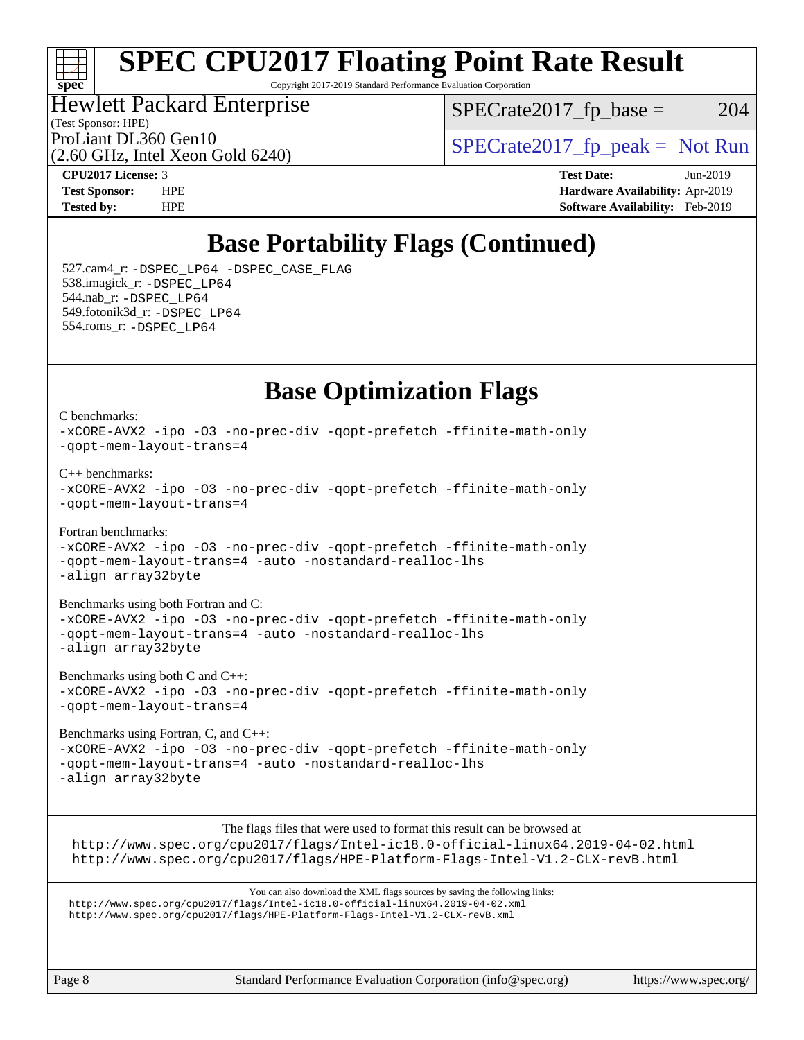## ti h **[spec](http://www.spec.org/)**

# **[SPEC CPU2017 Floating Point Rate Result](http://www.spec.org/auto/cpu2017/Docs/result-fields.html#SPECCPU2017FloatingPointRateResult)**

Copyright 2017-2019 Standard Performance Evaluation Corporation

### (Test Sponsor: HPE) Hewlett Packard Enterprise

 $SPECTate2017<sub>fr</sub> base = 204$ 

(2.60 GHz, Intel Xeon Gold 6240)

ProLiant DL360 Gen10  $SPECrate2017$ \_fp\_peak = Not Run

**[CPU2017 License:](http://www.spec.org/auto/cpu2017/Docs/result-fields.html#CPU2017License)** 3 **[Test Date:](http://www.spec.org/auto/cpu2017/Docs/result-fields.html#TestDate)** Jun-2019 **[Test Sponsor:](http://www.spec.org/auto/cpu2017/Docs/result-fields.html#TestSponsor)** HPE **[Hardware Availability:](http://www.spec.org/auto/cpu2017/Docs/result-fields.html#HardwareAvailability)** Apr-2019 **[Tested by:](http://www.spec.org/auto/cpu2017/Docs/result-fields.html#Testedby)** HPE **[Software Availability:](http://www.spec.org/auto/cpu2017/Docs/result-fields.html#SoftwareAvailability)** Feb-2019

## **[Base Portability Flags \(Continued\)](http://www.spec.org/auto/cpu2017/Docs/result-fields.html#BasePortabilityFlags)**

 527.cam4\_r: [-DSPEC\\_LP64](http://www.spec.org/cpu2017/results/res2019q3/cpu2017-20190709-16066.flags.html#suite_basePORTABILITY527_cam4_r_DSPEC_LP64) [-DSPEC\\_CASE\\_FLAG](http://www.spec.org/cpu2017/results/res2019q3/cpu2017-20190709-16066.flags.html#b527.cam4_r_baseCPORTABILITY_DSPEC_CASE_FLAG) 538.imagick\_r: [-DSPEC\\_LP64](http://www.spec.org/cpu2017/results/res2019q3/cpu2017-20190709-16066.flags.html#suite_basePORTABILITY538_imagick_r_DSPEC_LP64) 544.nab\_r: [-DSPEC\\_LP64](http://www.spec.org/cpu2017/results/res2019q3/cpu2017-20190709-16066.flags.html#suite_basePORTABILITY544_nab_r_DSPEC_LP64) 549.fotonik3d\_r: [-DSPEC\\_LP64](http://www.spec.org/cpu2017/results/res2019q3/cpu2017-20190709-16066.flags.html#suite_basePORTABILITY549_fotonik3d_r_DSPEC_LP64) 554.roms\_r: [-DSPEC\\_LP64](http://www.spec.org/cpu2017/results/res2019q3/cpu2017-20190709-16066.flags.html#suite_basePORTABILITY554_roms_r_DSPEC_LP64)

## **[Base Optimization Flags](http://www.spec.org/auto/cpu2017/Docs/result-fields.html#BaseOptimizationFlags)**

[C benchmarks](http://www.spec.org/auto/cpu2017/Docs/result-fields.html#Cbenchmarks): [-xCORE-AVX2](http://www.spec.org/cpu2017/results/res2019q3/cpu2017-20190709-16066.flags.html#user_CCbase_f-xCORE-AVX2) [-ipo](http://www.spec.org/cpu2017/results/res2019q3/cpu2017-20190709-16066.flags.html#user_CCbase_f-ipo) [-O3](http://www.spec.org/cpu2017/results/res2019q3/cpu2017-20190709-16066.flags.html#user_CCbase_f-O3) [-no-prec-div](http://www.spec.org/cpu2017/results/res2019q3/cpu2017-20190709-16066.flags.html#user_CCbase_f-no-prec-div) [-qopt-prefetch](http://www.spec.org/cpu2017/results/res2019q3/cpu2017-20190709-16066.flags.html#user_CCbase_f-qopt-prefetch) [-ffinite-math-only](http://www.spec.org/cpu2017/results/res2019q3/cpu2017-20190709-16066.flags.html#user_CCbase_f_finite_math_only_cb91587bd2077682c4b38af759c288ed7c732db004271a9512da14a4f8007909a5f1427ecbf1a0fb78ff2a814402c6114ac565ca162485bbcae155b5e4258871) [-qopt-mem-layout-trans=4](http://www.spec.org/cpu2017/results/res2019q3/cpu2017-20190709-16066.flags.html#user_CCbase_f-qopt-mem-layout-trans_fa39e755916c150a61361b7846f310bcdf6f04e385ef281cadf3647acec3f0ae266d1a1d22d972a7087a248fd4e6ca390a3634700869573d231a252c784941a8) [C++ benchmarks:](http://www.spec.org/auto/cpu2017/Docs/result-fields.html#CXXbenchmarks) [-xCORE-AVX2](http://www.spec.org/cpu2017/results/res2019q3/cpu2017-20190709-16066.flags.html#user_CXXbase_f-xCORE-AVX2) [-ipo](http://www.spec.org/cpu2017/results/res2019q3/cpu2017-20190709-16066.flags.html#user_CXXbase_f-ipo) [-O3](http://www.spec.org/cpu2017/results/res2019q3/cpu2017-20190709-16066.flags.html#user_CXXbase_f-O3) [-no-prec-div](http://www.spec.org/cpu2017/results/res2019q3/cpu2017-20190709-16066.flags.html#user_CXXbase_f-no-prec-div) [-qopt-prefetch](http://www.spec.org/cpu2017/results/res2019q3/cpu2017-20190709-16066.flags.html#user_CXXbase_f-qopt-prefetch) [-ffinite-math-only](http://www.spec.org/cpu2017/results/res2019q3/cpu2017-20190709-16066.flags.html#user_CXXbase_f_finite_math_only_cb91587bd2077682c4b38af759c288ed7c732db004271a9512da14a4f8007909a5f1427ecbf1a0fb78ff2a814402c6114ac565ca162485bbcae155b5e4258871) [-qopt-mem-layout-trans=4](http://www.spec.org/cpu2017/results/res2019q3/cpu2017-20190709-16066.flags.html#user_CXXbase_f-qopt-mem-layout-trans_fa39e755916c150a61361b7846f310bcdf6f04e385ef281cadf3647acec3f0ae266d1a1d22d972a7087a248fd4e6ca390a3634700869573d231a252c784941a8) [Fortran benchmarks](http://www.spec.org/auto/cpu2017/Docs/result-fields.html#Fortranbenchmarks): [-xCORE-AVX2](http://www.spec.org/cpu2017/results/res2019q3/cpu2017-20190709-16066.flags.html#user_FCbase_f-xCORE-AVX2) [-ipo](http://www.spec.org/cpu2017/results/res2019q3/cpu2017-20190709-16066.flags.html#user_FCbase_f-ipo) [-O3](http://www.spec.org/cpu2017/results/res2019q3/cpu2017-20190709-16066.flags.html#user_FCbase_f-O3) [-no-prec-div](http://www.spec.org/cpu2017/results/res2019q3/cpu2017-20190709-16066.flags.html#user_FCbase_f-no-prec-div) [-qopt-prefetch](http://www.spec.org/cpu2017/results/res2019q3/cpu2017-20190709-16066.flags.html#user_FCbase_f-qopt-prefetch) [-ffinite-math-only](http://www.spec.org/cpu2017/results/res2019q3/cpu2017-20190709-16066.flags.html#user_FCbase_f_finite_math_only_cb91587bd2077682c4b38af759c288ed7c732db004271a9512da14a4f8007909a5f1427ecbf1a0fb78ff2a814402c6114ac565ca162485bbcae155b5e4258871) [-qopt-mem-layout-trans=4](http://www.spec.org/cpu2017/results/res2019q3/cpu2017-20190709-16066.flags.html#user_FCbase_f-qopt-mem-layout-trans_fa39e755916c150a61361b7846f310bcdf6f04e385ef281cadf3647acec3f0ae266d1a1d22d972a7087a248fd4e6ca390a3634700869573d231a252c784941a8) [-auto](http://www.spec.org/cpu2017/results/res2019q3/cpu2017-20190709-16066.flags.html#user_FCbase_f-auto) [-nostandard-realloc-lhs](http://www.spec.org/cpu2017/results/res2019q3/cpu2017-20190709-16066.flags.html#user_FCbase_f_2003_std_realloc_82b4557e90729c0f113870c07e44d33d6f5a304b4f63d4c15d2d0f1fab99f5daaed73bdb9275d9ae411527f28b936061aa8b9c8f2d63842963b95c9dd6426b8a) [-align array32byte](http://www.spec.org/cpu2017/results/res2019q3/cpu2017-20190709-16066.flags.html#user_FCbase_align_array32byte_b982fe038af199962ba9a80c053b8342c548c85b40b8e86eb3cc33dee0d7986a4af373ac2d51c3f7cf710a18d62fdce2948f201cd044323541f22fc0fffc51b6) [Benchmarks using both Fortran and C](http://www.spec.org/auto/cpu2017/Docs/result-fields.html#BenchmarksusingbothFortranandC): [-xCORE-AVX2](http://www.spec.org/cpu2017/results/res2019q3/cpu2017-20190709-16066.flags.html#user_CC_FCbase_f-xCORE-AVX2) [-ipo](http://www.spec.org/cpu2017/results/res2019q3/cpu2017-20190709-16066.flags.html#user_CC_FCbase_f-ipo) [-O3](http://www.spec.org/cpu2017/results/res2019q3/cpu2017-20190709-16066.flags.html#user_CC_FCbase_f-O3) [-no-prec-div](http://www.spec.org/cpu2017/results/res2019q3/cpu2017-20190709-16066.flags.html#user_CC_FCbase_f-no-prec-div) [-qopt-prefetch](http://www.spec.org/cpu2017/results/res2019q3/cpu2017-20190709-16066.flags.html#user_CC_FCbase_f-qopt-prefetch) [-ffinite-math-only](http://www.spec.org/cpu2017/results/res2019q3/cpu2017-20190709-16066.flags.html#user_CC_FCbase_f_finite_math_only_cb91587bd2077682c4b38af759c288ed7c732db004271a9512da14a4f8007909a5f1427ecbf1a0fb78ff2a814402c6114ac565ca162485bbcae155b5e4258871) [-qopt-mem-layout-trans=4](http://www.spec.org/cpu2017/results/res2019q3/cpu2017-20190709-16066.flags.html#user_CC_FCbase_f-qopt-mem-layout-trans_fa39e755916c150a61361b7846f310bcdf6f04e385ef281cadf3647acec3f0ae266d1a1d22d972a7087a248fd4e6ca390a3634700869573d231a252c784941a8) [-auto](http://www.spec.org/cpu2017/results/res2019q3/cpu2017-20190709-16066.flags.html#user_CC_FCbase_f-auto) [-nostandard-realloc-lhs](http://www.spec.org/cpu2017/results/res2019q3/cpu2017-20190709-16066.flags.html#user_CC_FCbase_f_2003_std_realloc_82b4557e90729c0f113870c07e44d33d6f5a304b4f63d4c15d2d0f1fab99f5daaed73bdb9275d9ae411527f28b936061aa8b9c8f2d63842963b95c9dd6426b8a) [-align array32byte](http://www.spec.org/cpu2017/results/res2019q3/cpu2017-20190709-16066.flags.html#user_CC_FCbase_align_array32byte_b982fe038af199962ba9a80c053b8342c548c85b40b8e86eb3cc33dee0d7986a4af373ac2d51c3f7cf710a18d62fdce2948f201cd044323541f22fc0fffc51b6) [Benchmarks using both C and C++](http://www.spec.org/auto/cpu2017/Docs/result-fields.html#BenchmarksusingbothCandCXX):

[-xCORE-AVX2](http://www.spec.org/cpu2017/results/res2019q3/cpu2017-20190709-16066.flags.html#user_CC_CXXbase_f-xCORE-AVX2) [-ipo](http://www.spec.org/cpu2017/results/res2019q3/cpu2017-20190709-16066.flags.html#user_CC_CXXbase_f-ipo) [-O3](http://www.spec.org/cpu2017/results/res2019q3/cpu2017-20190709-16066.flags.html#user_CC_CXXbase_f-O3) [-no-prec-div](http://www.spec.org/cpu2017/results/res2019q3/cpu2017-20190709-16066.flags.html#user_CC_CXXbase_f-no-prec-div) [-qopt-prefetch](http://www.spec.org/cpu2017/results/res2019q3/cpu2017-20190709-16066.flags.html#user_CC_CXXbase_f-qopt-prefetch) [-ffinite-math-only](http://www.spec.org/cpu2017/results/res2019q3/cpu2017-20190709-16066.flags.html#user_CC_CXXbase_f_finite_math_only_cb91587bd2077682c4b38af759c288ed7c732db004271a9512da14a4f8007909a5f1427ecbf1a0fb78ff2a814402c6114ac565ca162485bbcae155b5e4258871) [-qopt-mem-layout-trans=4](http://www.spec.org/cpu2017/results/res2019q3/cpu2017-20190709-16066.flags.html#user_CC_CXXbase_f-qopt-mem-layout-trans_fa39e755916c150a61361b7846f310bcdf6f04e385ef281cadf3647acec3f0ae266d1a1d22d972a7087a248fd4e6ca390a3634700869573d231a252c784941a8)

[Benchmarks using Fortran, C, and C++:](http://www.spec.org/auto/cpu2017/Docs/result-fields.html#BenchmarksusingFortranCandCXX) [-xCORE-AVX2](http://www.spec.org/cpu2017/results/res2019q3/cpu2017-20190709-16066.flags.html#user_CC_CXX_FCbase_f-xCORE-AVX2) [-ipo](http://www.spec.org/cpu2017/results/res2019q3/cpu2017-20190709-16066.flags.html#user_CC_CXX_FCbase_f-ipo) [-O3](http://www.spec.org/cpu2017/results/res2019q3/cpu2017-20190709-16066.flags.html#user_CC_CXX_FCbase_f-O3) [-no-prec-div](http://www.spec.org/cpu2017/results/res2019q3/cpu2017-20190709-16066.flags.html#user_CC_CXX_FCbase_f-no-prec-div) [-qopt-prefetch](http://www.spec.org/cpu2017/results/res2019q3/cpu2017-20190709-16066.flags.html#user_CC_CXX_FCbase_f-qopt-prefetch) [-ffinite-math-only](http://www.spec.org/cpu2017/results/res2019q3/cpu2017-20190709-16066.flags.html#user_CC_CXX_FCbase_f_finite_math_only_cb91587bd2077682c4b38af759c288ed7c732db004271a9512da14a4f8007909a5f1427ecbf1a0fb78ff2a814402c6114ac565ca162485bbcae155b5e4258871) [-qopt-mem-layout-trans=4](http://www.spec.org/cpu2017/results/res2019q3/cpu2017-20190709-16066.flags.html#user_CC_CXX_FCbase_f-qopt-mem-layout-trans_fa39e755916c150a61361b7846f310bcdf6f04e385ef281cadf3647acec3f0ae266d1a1d22d972a7087a248fd4e6ca390a3634700869573d231a252c784941a8) [-auto](http://www.spec.org/cpu2017/results/res2019q3/cpu2017-20190709-16066.flags.html#user_CC_CXX_FCbase_f-auto) [-nostandard-realloc-lhs](http://www.spec.org/cpu2017/results/res2019q3/cpu2017-20190709-16066.flags.html#user_CC_CXX_FCbase_f_2003_std_realloc_82b4557e90729c0f113870c07e44d33d6f5a304b4f63d4c15d2d0f1fab99f5daaed73bdb9275d9ae411527f28b936061aa8b9c8f2d63842963b95c9dd6426b8a) [-align array32byte](http://www.spec.org/cpu2017/results/res2019q3/cpu2017-20190709-16066.flags.html#user_CC_CXX_FCbase_align_array32byte_b982fe038af199962ba9a80c053b8342c548c85b40b8e86eb3cc33dee0d7986a4af373ac2d51c3f7cf710a18d62fdce2948f201cd044323541f22fc0fffc51b6)

The flags files that were used to format this result can be browsed at <http://www.spec.org/cpu2017/flags/Intel-ic18.0-official-linux64.2019-04-02.html> <http://www.spec.org/cpu2017/flags/HPE-Platform-Flags-Intel-V1.2-CLX-revB.html>

You can also download the XML flags sources by saving the following links: <http://www.spec.org/cpu2017/flags/Intel-ic18.0-official-linux64.2019-04-02.xml> <http://www.spec.org/cpu2017/flags/HPE-Platform-Flags-Intel-V1.2-CLX-revB.xml>